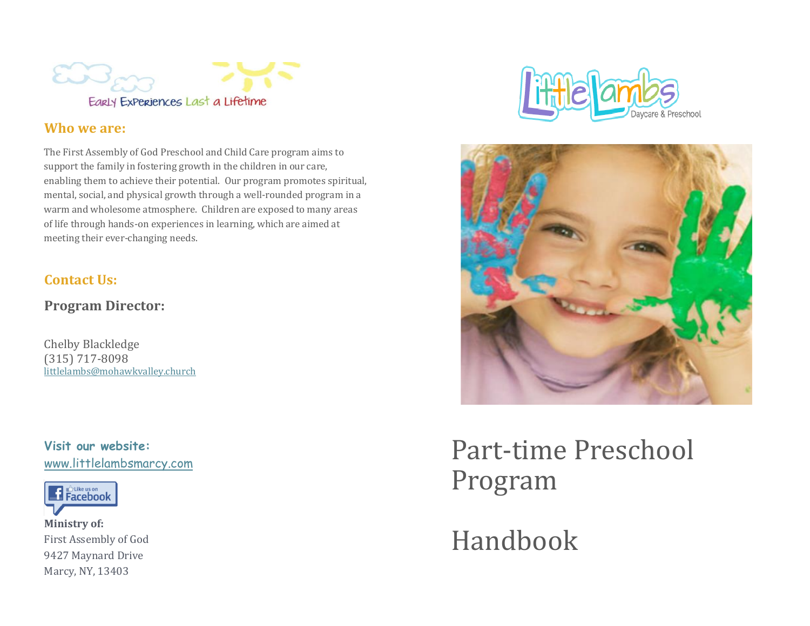

# **Who we are:**

The First Assembly of God Preschool and Child Care program aims to support the family in fostering growth in the children in our care, enabling them to achieve their potential. Our program promotes spiritual, mental, social, and physical growth through a well-rounded program in a warm and wholesome atmosphere. Children are exposed to many areas of life through hands-on experiences in learning, which are aimed at meeting their ever-changing needs.

# **Contact Us:**

**Program Director:**

Chelby Blackledge (315) 717-8098 littlelambs@mohawkvalley.church

**Visit our website:** www.littlelambsmarcy.com



**Ministry of:** First Assembly of God 9427 Maynard Drive Marcy, NY, 13403





Part-time Preschool Program

Handbook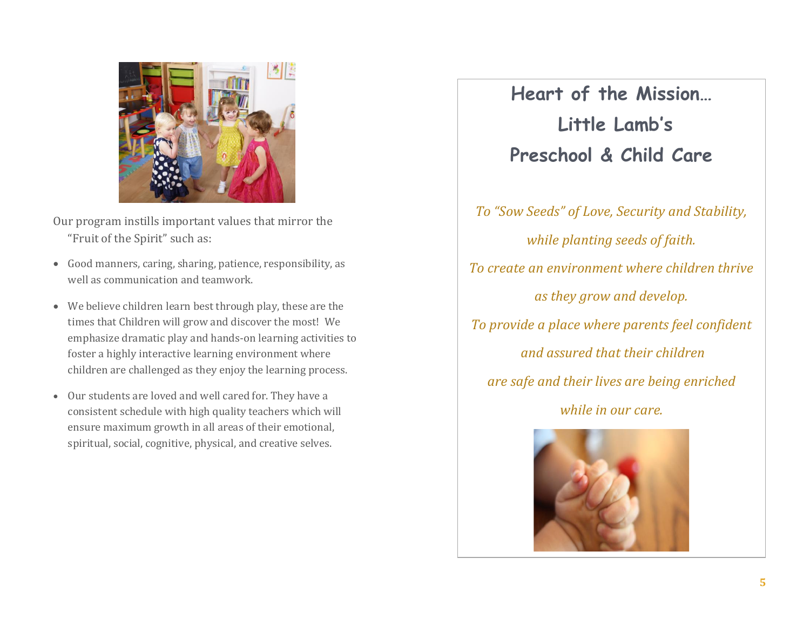

Our program instills important values that mirror the "Fruit of the Spirit" such as:

- Good manners, caring, sharing, patience, responsibility, as well as communication and teamwork.
- We believe children learn best through play, these are the times that Children will grow and discover the most! We emphasize dramatic play and hands-on learning activities to foster a highly interactive learning environment where children are challenged as they enjoy the learning process.
- Our students are loved and well cared for. They have a consistent schedule with high quality teachers which will ensure maximum growth in all areas of their emotional, spiritual, social, cognitive, physical, and creative selves.

**Heart of the Mission… Little Lamb's Preschool & Child Care** 

*To "Sow Seeds" of Love, Security and Stability, while planting seeds of faith. To create an environment where children thrive as they grow and develop. To provide a place where parents feel confident and assured that their children are safe and their lives are being enriched while in our care.*

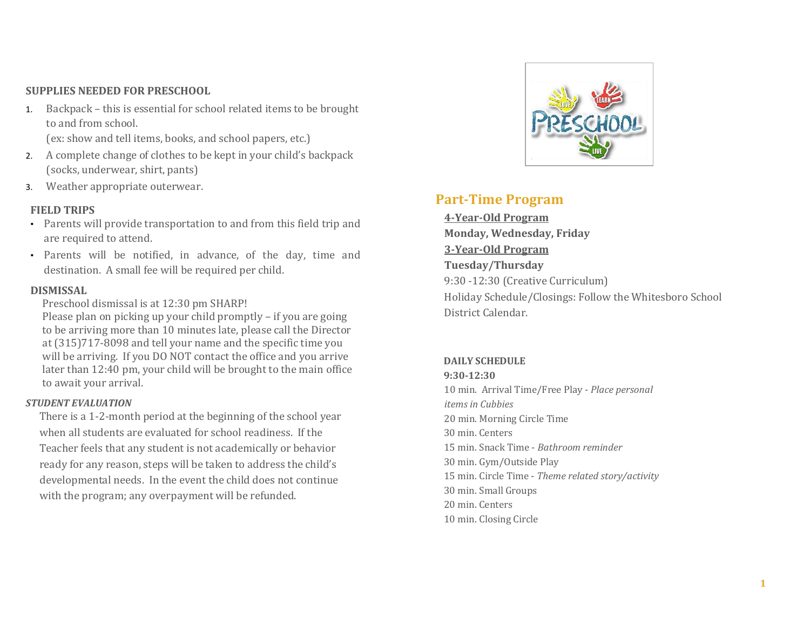### **SUPPLIES NEEDED FOR PRESCHOOL**

- 1. Backpack this is essential for school related items to be brought to and from school. (ex: show and tell items, books, and school papers, etc.)
- 2. A complete change of clothes to be kept in your child's backpack (socks, underwear, shirt, pants)
- 3. Weather appropriate outerwear.

### **FIELD TRIPS**

- Parents will provide transportation to and from this field trip and are required to attend.
- Parents will be notified, in advance, of the day, time and destination. A small fee will be required per child.

#### **DISMISSAL**

Preschool dismissal is at 12:30 pm SHARP!

Please plan on picking up your child promptly – if you are going to be arriving more than 10 minutes late, please call the Director at (315)717-8098 and tell your name and the specific time you will be arriving. If you DO NOT contact the office and you arrive later than 12:40 pm, your child will be brought to the main office to await your arrival.

#### *STUDENT EVALUATION*

There is a 1-2-month period at the beginning of the school year when all students are evaluated for school readiness. If the Teacher feels that any student is not academically or behavior ready for any reason, steps will be taken to address the child's developmental needs. In the event the child does not continue with the program; any overpayment will be refunded.



# **Part-Time Program**

**4-Year-Old Program Monday, Wednesday, Friday 3-Year-Old Program Tuesday/Thursday** 9:30 -12:30 (Creative Curriculum) Holiday Schedule/Closings: Follow the Whitesboro School District Calendar.

#### **DAILY SCHEDULE**

**9:30-12:30** 10 min. Arrival Time/Free Play - *Place personal items in Cubbies* 20 min. Morning Circle Time 30 min. Centers 15 min. Snack Time - *Bathroom reminder* 30 min. Gym/Outside Play 15 min. Circle Time - *Theme related story/activity* 30 min. Small Groups 20 min. Centers 10 min. Closing Circle